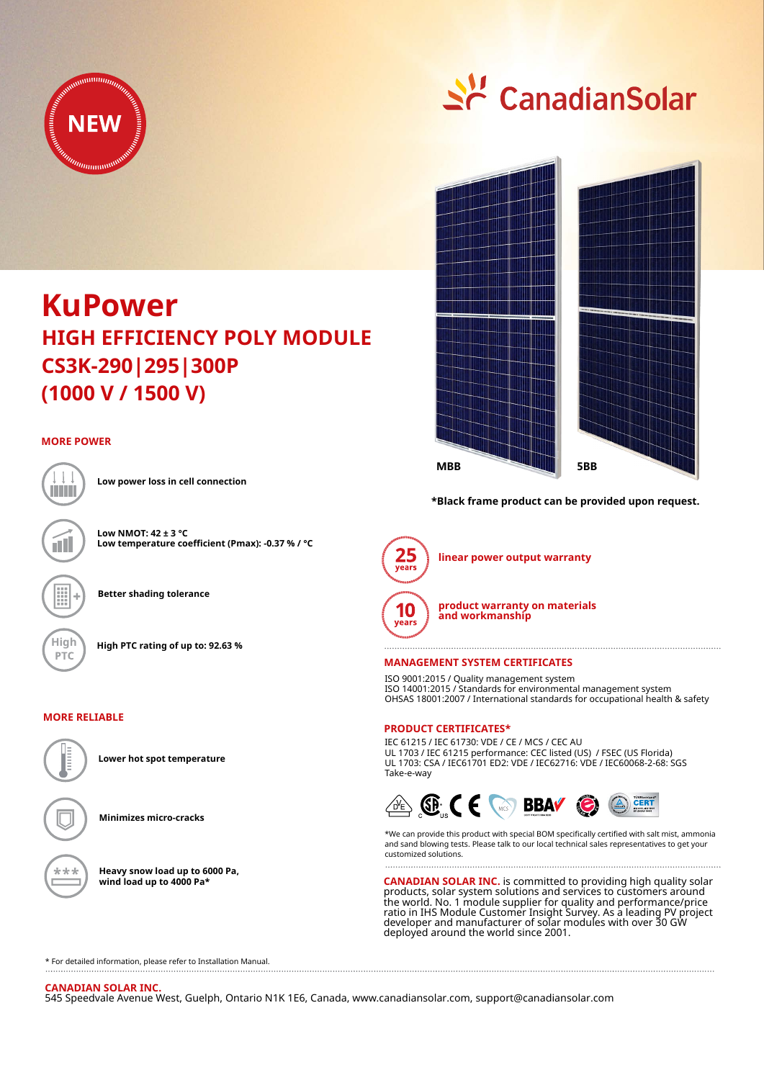

# $\leq$  Canadian Solar



**\*Black frame product can be provided upon request.**



**linear power output warranty**



**product warranty on materials and workmanship**

#### **MANAGEMENT SYSTEM CERTIFICATES**

ISO 9001:2015 / Quality management system ISO 14001:2015 / Standards for environmental management system OHSAS 18001:2007 / International standards for occupational health & safety

## **PRODUCT CERTIFICATES\***

IEC 61215 / IEC 61730: VDE / CE / MCS / CEC AU UL 1703 / IEC 61215 performance: CEC listed (US) / FSEC (US Florida) UL 1703: CSA / IEC61701 ED2: VDE / IEC62716: VDE / IEC60068-2-68: SGS Take-e-way



\*We can provide this product with special BOM specifically certified with salt mist, ammonia and sand blowing tests. Please talk to our local technical sales representatives to get your customized solutions. 

**CANADIAN SOLAR INC.** is committed to providing high quality solar products, solar system solutions and services to customers around the world. No. 1 module supplier for quality and performance/price ratio in IHS Module Customer Insight Survey. As a leading PV project developer and manufacturer of solar modules with over 30 GW deployed around the world since 2001.

\* For detailed information, please refer to Installation Manual.

## **CANADIAN SOLAR INC.**

545 Speedvale Avenue West, Guelph, Ontario N1K 1E6, Canada, www.canadiansolar.com, support@canadiansolar.com

## **KuPower CS3K-290|295|300P HIGH EFFICIENCY POLY MODULE (1000 V / 1500 V)**

#### **MORE POWER**



íII

**Low power loss in cell connection**

**Low NMOT: 42 ± 3 °C Low temperature coefficient (Pmax): -0.37 % / °C**

**Better shading tolerance**

**High High PTC rating of up to: 92.63 %**

#### **MORE RELIABLE**

**Lower hot spot temperature**

**Minimizes micro-cracks**

**Heavy snow load up to 6000 Pa, wind load up to 4000 Pa\***